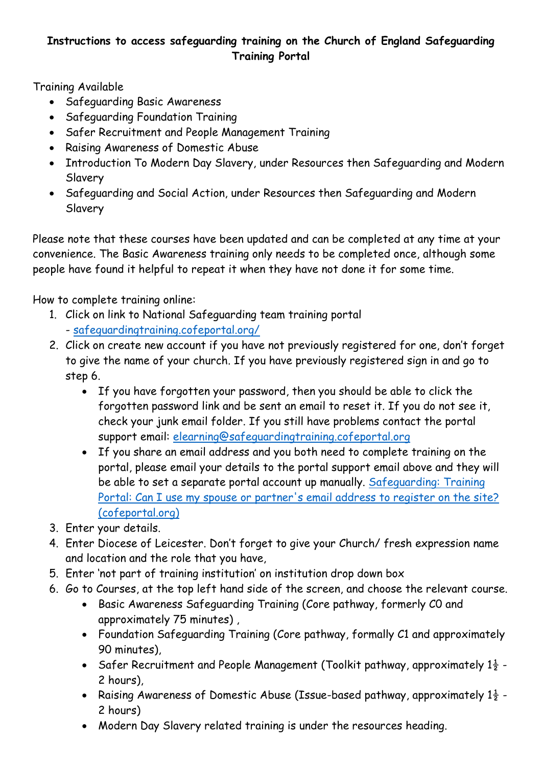## **Instructions to access safeguarding training on the Church of England Safeguarding Training Portal**

Training Available

- Safeguarding Basic Awareness
- Safeguarding Foundation Training
- Safer Recruitment and People Management Training
- Raising Awareness of Domestic Abuse
- Introduction To Modern Day Slavery, under Resources then Safeguarding and Modern Slavery
- Safeguarding and Social Action, under Resources then Safeguarding and Modern Slavery

Please note that these courses have been updated and can be completed at any time at your convenience. The Basic Awareness training only needs to be completed once, although some people have found it helpful to repeat it when they have not done it for some time.

How to complete training online:

- 1. Click on link to National Safeguarding team training portal - [safeguardingtraining.cofeportal.org/](https://safeguardingtraining.cofeportal.org/)
- 2. Click on create new account if you have not previously registered for one, don't forget to give the name of your church. If you have previously registered sign in and go to step 6.
	- If you have forgotten your password, then you should be able to click the forgotten password link and be sent an email to reset it. If you do not see it, check your junk email folder. If you still have problems contact the portal support email: [elearning@safeguardingtraining.cofeportal.org](mailto:elearning@safeguardingtraining.cofeportal.org)
	- If you share an email address and you both need to complete training on the portal, please email your details to the portal support email above and they will be able to set a separate portal account up manually. [Safeguarding: Training](https://safeguardingtraining.cofeportal.org/mod/forum/discuss.php?d=11)  Portal: Can I use my spouse or partner's email address to register on the site? [\(cofeportal.org\)](https://safeguardingtraining.cofeportal.org/mod/forum/discuss.php?d=11)
- 3. Enter your details.
- 4. Enter Diocese of Leicester. Don't forget to give your Church/ fresh expression name and location and the role that you have,
- 5. Enter 'not part of training institution' on institution drop down box
- 6. Go to Courses, at the top left hand side of the screen, and choose the relevant course.
	- Basic Awareness Safeguarding Training (Core pathway, formerly C0 and approximately 75 minutes) ,
	- Foundation Safeguarding Training (Core pathway, formally C1 and approximately 90 minutes),
	- Safer Recruitment and People Management (Toolkit pathway, approximately  $1\frac{1}{2}$  -2 hours),
	- Raising Awareness of Domestic Abuse (Issue-based pathway, approximately  $1\frac{1}{2}$  -2 hours)
	- Modern Day Slavery related training is under the resources heading.